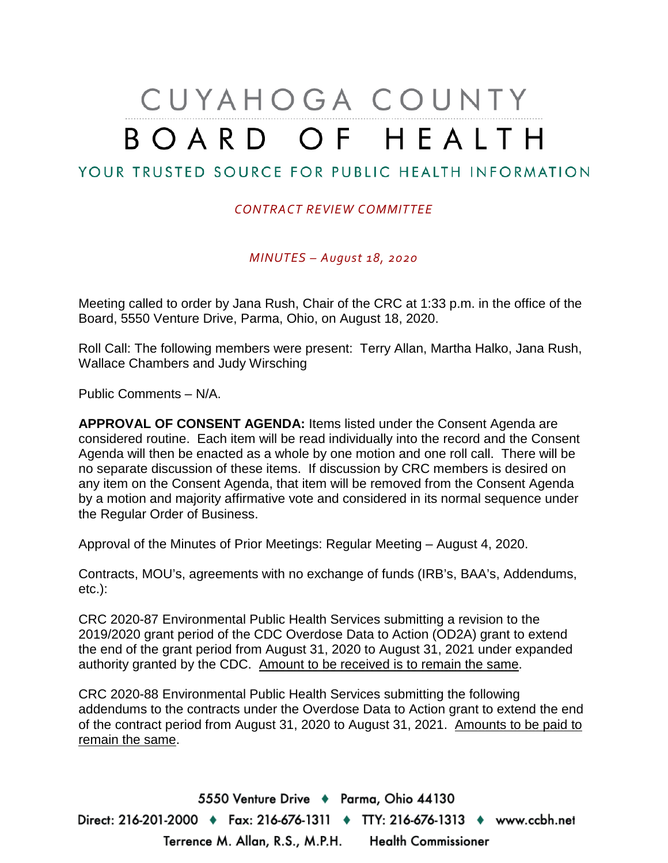# CUYAHOGA COUNTY BOARD OF HEALTH

# YOUR TRUSTED SOURCE FOR PUBLIC HEALTH INFORMATION

### *CONTRACT REVIEW COMMITTEE*

*MINUTES – August 18, 2020*

Meeting called to order by Jana Rush, Chair of the CRC at 1:33 p.m. in the office of the Board, 5550 Venture Drive, Parma, Ohio, on August 18, 2020.

Roll Call: The following members were present: Terry Allan, Martha Halko, Jana Rush, Wallace Chambers and Judy Wirsching

Public Comments – N/A.

**APPROVAL OF CONSENT AGENDA:** Items listed under the Consent Agenda are considered routine. Each item will be read individually into the record and the Consent Agenda will then be enacted as a whole by one motion and one roll call. There will be no separate discussion of these items. If discussion by CRC members is desired on any item on the Consent Agenda, that item will be removed from the Consent Agenda by a motion and majority affirmative vote and considered in its normal sequence under the Regular Order of Business.

Approval of the Minutes of Prior Meetings: Regular Meeting – August 4, 2020.

Contracts, MOU's, agreements with no exchange of funds (IRB's, BAA's, Addendums, etc.):

CRC 2020-87 Environmental Public Health Services submitting a revision to the 2019/2020 grant period of the CDC Overdose Data to Action (OD2A) grant to extend the end of the grant period from August 31, 2020 to August 31, 2021 under expanded authority granted by the CDC. Amount to be received is to remain the same.

CRC 2020-88 Environmental Public Health Services submitting the following addendums to the contracts under the Overdose Data to Action grant to extend the end of the contract period from August 31, 2020 to August 31, 2021. Amounts to be paid to remain the same.

5550 Venture Drive + Parma, Ohio 44130 Direct: 216-201-2000 ♦ Fax: 216-676-1311 ♦ TTY: 216-676-1313 ♦ www.ccbh.net Terrence M. Allan, R.S., M.P.H. Health Commissioner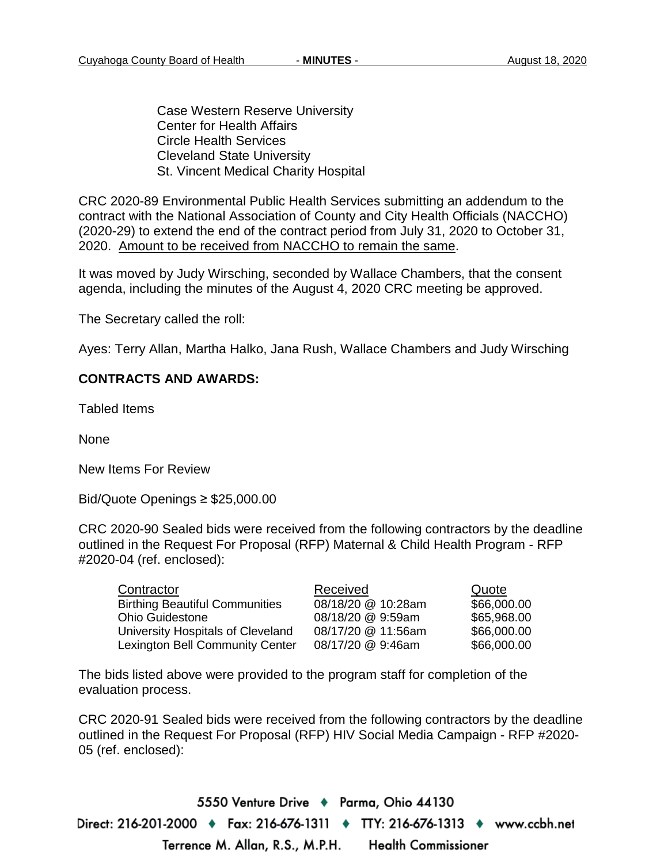Case Western Reserve University Center for Health Affairs Circle Health Services Cleveland State University St. Vincent Medical Charity Hospital

CRC 2020-89 Environmental Public Health Services submitting an addendum to the contract with the National Association of County and City Health Officials (NACCHO) (2020-29) to extend the end of the contract period from July 31, 2020 to October 31, 2020. Amount to be received from NACCHO to remain the same.

It was moved by Judy Wirsching, seconded by Wallace Chambers, that the consent agenda, including the minutes of the August 4, 2020 CRC meeting be approved.

The Secretary called the roll:

Ayes: Terry Allan, Martha Halko, Jana Rush, Wallace Chambers and Judy Wirsching

### **CONTRACTS AND AWARDS:**

Tabled Items

None

New Items For Review

Bid/Quote Openings ≥ \$25,000.00

CRC 2020-90 Sealed bids were received from the following contractors by the deadline outlined in the Request For Proposal (RFP) Maternal & Child Health Program - RFP #2020-04 (ref. enclosed):

| Contractor                            | Received           | Quote       |
|---------------------------------------|--------------------|-------------|
| <b>Birthing Beautiful Communities</b> | 08/18/20 @ 10:28am | \$66,000.00 |
| <b>Ohio Guidestone</b>                | 08/18/20 @ 9:59am  | \$65,968.00 |
| University Hospitals of Cleveland     | 08/17/20 @ 11:56am | \$66,000.00 |
| Lexington Bell Community Center       | 08/17/20 @ 9:46am  | \$66,000.00 |

The bids listed above were provided to the program staff for completion of the evaluation process.

CRC 2020-91 Sealed bids were received from the following contractors by the deadline outlined in the Request For Proposal (RFP) HIV Social Media Campaign - RFP #2020- 05 (ref. enclosed):

5550 Venture Drive + Parma, Ohio 44130 Direct: 216-201-2000 ♦ Fax: 216-676-1311 ♦ TTY: 216-676-1313 ♦ www.ccbh.net Terrence M. Allan, R.S., M.P.H. **Health Commissioner**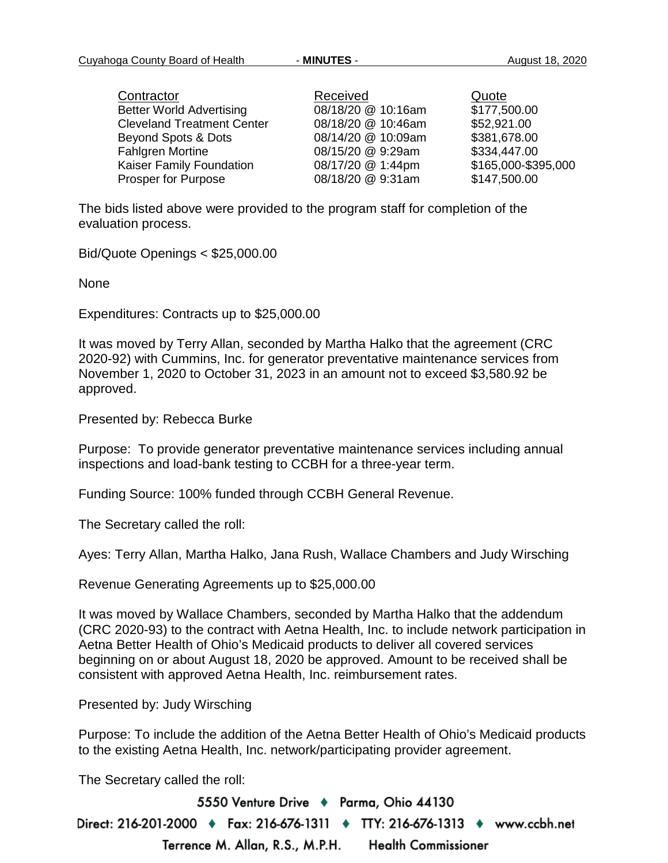| Contractor                        | Received           | Quote               |
|-----------------------------------|--------------------|---------------------|
| <b>Better World Advertising</b>   | 08/18/20 @ 10:16am | \$177,500.00        |
| <b>Cleveland Treatment Center</b> | 08/18/20 @ 10:46am | \$52,921.00         |
| Beyond Spots & Dots               | 08/14/20 @ 10:09am | \$381,678.00        |
| <b>Fahlgren Mortine</b>           | 08/15/20 @ 9:29am  | \$334,447.00        |
| Kaiser Family Foundation          | 08/17/20 @ 1:44pm  | \$165,000-\$395,000 |
| Prosper for Purpose               | 08/18/20 @ 9:31am  | \$147,500.00        |

The bids listed above were provided to the program staff for completion of the evaluation process.

Bid/Quote Openings < \$25,000.00

None

Expenditures: Contracts up to \$25,000.00

It was moved by Terry Allan, seconded by Martha Halko that the agreement (CRC 2020-92) with Cummins, Inc. for generator preventative maintenance services from November 1, 2020 to October 31, 2023 in an amount not to exceed \$3,580.92 be approved.

Presented by: Rebecca Burke

Purpose: To provide generator preventative maintenance services including annual inspections and load-bank testing to CCBH for a three-year term.

Funding Source: 100% funded through CCBH General Revenue.

The Secretary called the roll:

Ayes: Terry Allan, Martha Halko, Jana Rush, Wallace Chambers and Judy Wirsching

Revenue Generating Agreements up to \$25,000.00

It was moved by Wallace Chambers, seconded by Martha Halko that the addendum (CRC 2020-93) to the contract with Aetna Health, Inc. to include network participation in Aetna Better Health of Ohio's Medicaid products to deliver all covered services beginning on or about August 18, 2020 be approved. Amount to be received shall be consistent with approved Aetna Health, Inc. reimbursement rates.

Presented by: Judy Wirsching

Purpose: To include the addition of the Aetna Better Health of Ohio's Medicaid products to the existing Aetna Health, Inc. network/participating provider agreement.

The Secretary called the roll:

5550 Venture Drive + Parma, Ohio 44130 Direct: 216-201-2000 ♦ Fax: 216-676-1311 ♦ TTY: 216-676-1313 ♦ www.ccbh.net Terrence M. Allan, R.S., M.P.H. **Health Commissioner**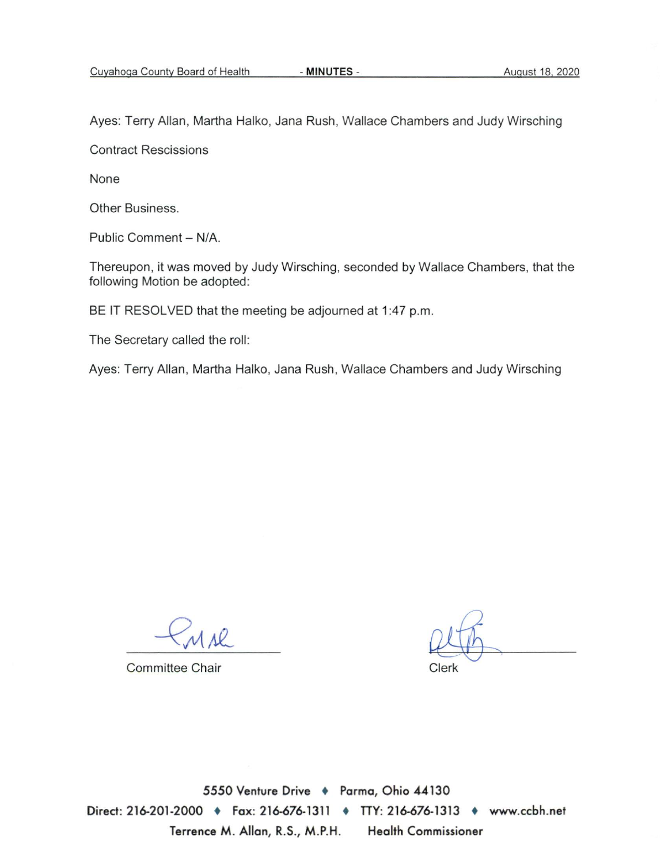Ayes: Terry Allan, Martha Halko, Jana Rush, Wallace Chambers and Judy Wirsching

**Contract Rescissions** 

None

Other Business.

Public Comment - N/A.

Thereupon, it was moved by Judy Wirsching, seconded by Wallace Chambers, that the following Motion be adopted:

BE IT RESOLVED that the meeting be adjourned at 1:47 p.m.

The Secretary called the roll:

Ayes: Terry Allan, Martha Halko, Jana Rush, Wallace Chambers and Judy Wirsching

**Committee Chair** 

Clerk

5550 Venture Drive + Parma, Ohio 44130 Direct: 216-201-2000 • Fax: 216-676-1311 • TTY: 216-676-1313 • www.ccbh.net **Health Commissioner** Terrence M. Allan, R.S., M.P.H.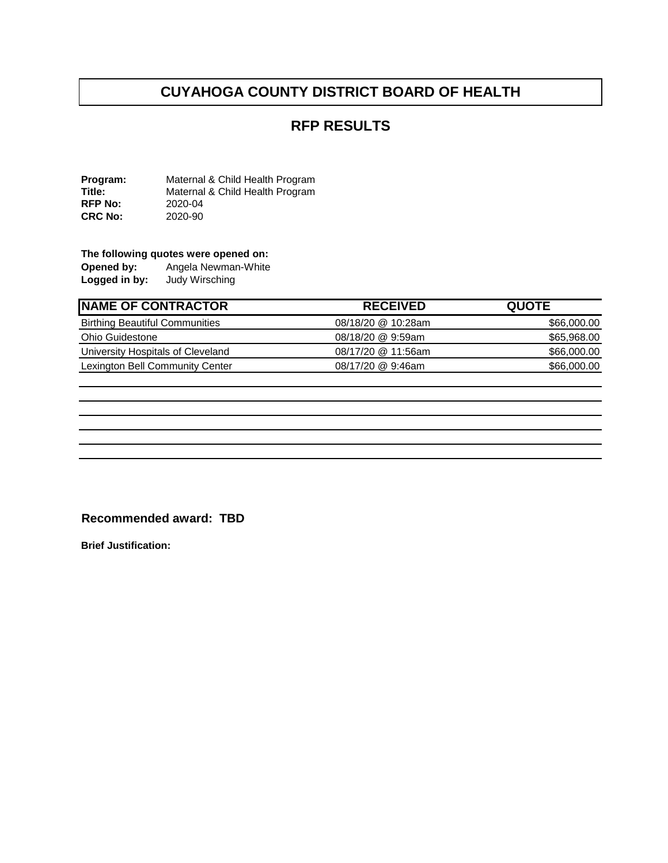## **CUYAHOGA COUNTY DISTRICT BOARD OF HEALTH**

### **RFP RESULTS**

**Program:** Maternal & Child Health Program<br> **Title:** Maternal & Child Health Program Maternal & Child Health Program<br>2020-04 **RFP No:** 2020-04<br>**CRC No:** 2020-90 **CRC No:** 

# **The following quotes were opened on:**<br>**Opened by:** Angela Newman-White

Angela Newman-White<br>Judy Wirsching **Logged in by:** 

| <b>RECEIVED</b>    | <b>QUOTE</b> |
|--------------------|--------------|
| 08/18/20 @ 10:28am | \$66,000.00  |
| 08/18/20 @ 9:59am  | \$65,968.00  |
| 08/17/20 @ 11:56am | \$66,000.00  |
| 08/17/20 @ 9:46am  | \$66,000.00  |
|                    |              |

#### **Recommended award: TBD**

**Brief Justification:**